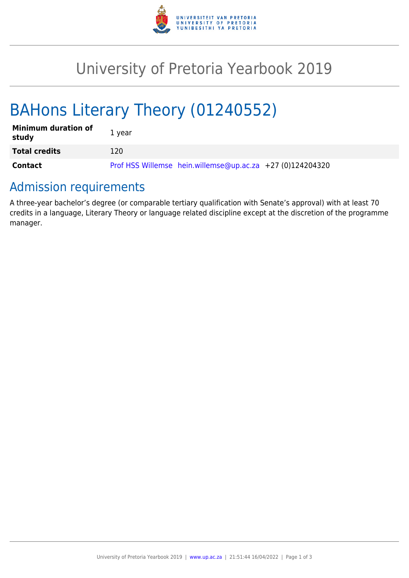

## University of Pretoria Yearbook 2019

# BAHons Literary Theory (01240552)

| <b>Minimum duration of</b><br>study | 1 vear                                                    |
|-------------------------------------|-----------------------------------------------------------|
| <b>Total credits</b>                | 120                                                       |
| Contact                             | Prof HSS Willemse hein.willemse@up.ac.za +27 (0)124204320 |

### Admission requirements

A three-year bachelor's degree (or comparable tertiary qualification with Senate's approval) with at least 70 credits in a language, Literary Theory or language related discipline except at the discretion of the programme manager.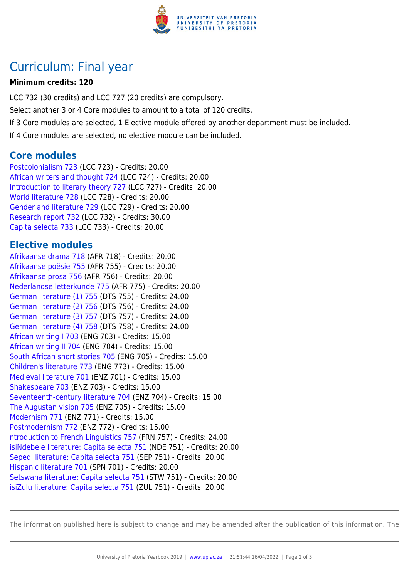

### Curriculum: Final year

#### **Minimum credits: 120**

LCC 732 (30 credits) and LCC 727 (20 credits) are compulsory. Select another 3 or 4 Core modules to amount to a total of 120 credits. If 3 Core modules are selected, 1 Elective module offered by another department must be included. If 4 Core modules are selected, no elective module can be included.

### **Core modules**

[Postcolonialism 723](https://www.up.ac.za/faculty-of-education/yearbooks/2019/modules/view/LCC 723) (LCC 723) - Credits: 20.00 [African writers and thought 724](https://www.up.ac.za/faculty-of-education/yearbooks/2019/modules/view/LCC 724) (LCC 724) - Credits: 20.00 [Introduction to literary theory 727](https://www.up.ac.za/faculty-of-education/yearbooks/2019/modules/view/LCC 727) (LCC 727) - Credits: 20.00 [World literature 728](https://www.up.ac.za/faculty-of-education/yearbooks/2019/modules/view/LCC 728) (LCC 728) - Credits: 20.00 [Gender and literature 729](https://www.up.ac.za/faculty-of-education/yearbooks/2019/modules/view/LCC 729) (LCC 729) - Credits: 20.00 [Research report 732](https://www.up.ac.za/faculty-of-education/yearbooks/2019/modules/view/LCC 732) (LCC 732) - Credits: 30.00 [Capita selecta 733](https://www.up.ac.za/faculty-of-education/yearbooks/2019/modules/view/LCC 733) (LCC 733) - Credits: 20.00

### **Elective modules**

[Afrikaanse drama 718](https://www.up.ac.za/faculty-of-education/yearbooks/2019/modules/view/AFR 718) (AFR 718) - Credits: 20.00 [Afrikaanse poësie 755](https://www.up.ac.za/faculty-of-education/yearbooks/2019/modules/view/AFR 755) (AFR 755) - Credits: 20.00 [Afrikaanse prosa 756](https://www.up.ac.za/faculty-of-education/yearbooks/2019/modules/view/AFR 756) (AFR 756) - Credits: 20.00 [Nederlandse letterkunde 775](https://www.up.ac.za/faculty-of-education/yearbooks/2019/modules/view/AFR 775) (AFR 775) - Credits: 20.00 [German literature \(1\) 755](https://www.up.ac.za/faculty-of-education/yearbooks/2019/modules/view/DTS 755) (DTS 755) - Credits: 24.00 [German literature \(2\) 756](https://www.up.ac.za/faculty-of-education/yearbooks/2019/modules/view/DTS 756) (DTS 756) - Credits: 24.00 [German literature \(3\) 757](https://www.up.ac.za/faculty-of-education/yearbooks/2019/modules/view/DTS 757) (DTS 757) - Credits: 24.00 [German literature \(4\) 758](https://www.up.ac.za/faculty-of-education/yearbooks/2019/modules/view/DTS 758) (DTS 758) - Credits: 24.00 [African writing I 703](https://www.up.ac.za/faculty-of-education/yearbooks/2019/modules/view/ENG 703) (ENG 703) - Credits: 15.00 [African writing II 704](https://www.up.ac.za/faculty-of-education/yearbooks/2019/modules/view/ENG 704) (ENG 704) - Credits: 15.00 [South African short stories 705](https://www.up.ac.za/faculty-of-education/yearbooks/2019/modules/view/ENG 705) (ENG 705) - Credits: 15.00 [Children's literature 773](https://www.up.ac.za/faculty-of-education/yearbooks/2019/modules/view/ENG 773) (ENG 773) - Credits: 15.00 [Medieval literature 701](https://www.up.ac.za/faculty-of-education/yearbooks/2019/modules/view/ENZ 701) (ENZ 701) - Credits: 15.00 [Shakespeare 703](https://www.up.ac.za/faculty-of-education/yearbooks/2019/modules/view/ENZ 703) (ENZ 703) - Credits: 15.00 [Seventeenth-century literature 704](https://www.up.ac.za/faculty-of-education/yearbooks/2019/modules/view/ENZ 704) (ENZ 704) - Credits: 15.00 [The Augustan vision 705](https://www.up.ac.za/faculty-of-education/yearbooks/2019/modules/view/ENZ 705) (ENZ 705) - Credits: 15.00 [Modernism 771](https://www.up.ac.za/faculty-of-education/yearbooks/2019/modules/view/ENZ 771) (ENZ 771) - Credits: 15.00 [Postmodernism 772](https://www.up.ac.za/faculty-of-education/yearbooks/2019/modules/view/ENZ 772) (ENZ 772) - Credits: 15.00 [ntroduction to French Linguistics 757](https://www.up.ac.za/faculty-of-education/yearbooks/2019/modules/view/FRN 757) (FRN 757) - Credits: 24.00 [isiNdebele literature: Capita selecta 751](https://www.up.ac.za/faculty-of-education/yearbooks/2019/modules/view/NDE 751) (NDE 751) - Credits: 20.00 [Sepedi literature: Capita selecta 751](https://www.up.ac.za/faculty-of-education/yearbooks/2019/modules/view/SEP 751) (SEP 751) - Credits: 20.00 [Hispanic literature 701](https://www.up.ac.za/faculty-of-education/yearbooks/2019/modules/view/SPN 701) (SPN 701) - Credits: 20.00 [Setswana literature: Capita selecta 751](https://www.up.ac.za/faculty-of-education/yearbooks/2019/modules/view/STW 751) (STW 751) - Credits: 20.00 [isiZulu literature: Capita selecta 751](https://www.up.ac.za/faculty-of-education/yearbooks/2019/modules/view/ZUL 751) (ZUL 751) - Credits: 20.00

The information published here is subject to change and may be amended after the publication of this information. The